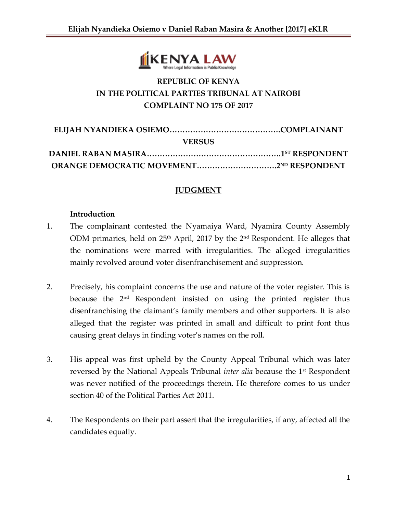

# **REPUBLIC OF KENYA IN THE POLITICAL PARTIES TRIBUNAL AT NAIROBI COMPLAINT NO 175 OF 2017**

| <b>VERSUS</b> |  |
|---------------|--|
|               |  |
|               |  |

# **JUDGMENT**

#### **Introduction**

- 1. The complainant contested the Nyamaiya Ward, Nyamira County Assembly ODM primaries, held on 25<sup>th</sup> April, 2017 by the 2<sup>nd</sup> Respondent. He alleges that the nominations were marred with irregularities. The alleged irregularities mainly revolved around voter disenfranchisement and suppression.
- 2. Precisely, his complaint concerns the use and nature of the voter register. This is because the 2<sup>nd</sup> Respondent insisted on using the printed register thus disenfranchising the claimant's family members and other supporters. It is also alleged that the register was printed in small and difficult to print font thus causing great delays in finding voter's names on the roll.
- 3. His appeal was first upheld by the County Appeal Tribunal which was later reversed by the National Appeals Tribunal *inter alia* because the 1st Respondent was never notified of the proceedings therein. He therefore comes to us under section 40 of the Political Parties Act 2011.
- 4. The Respondents on their part assert that the irregularities, if any, affected all the candidates equally.